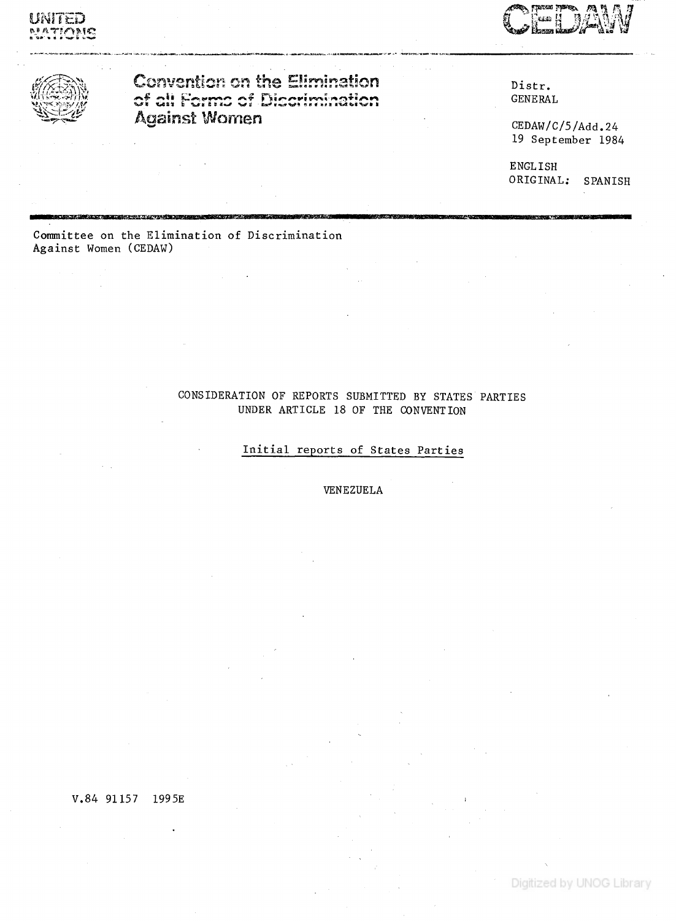UNITED TIMME





**Convention on the Elimination** of all Forms of Discrimination **Against Women** 

Distr. **GENERAL** 

 $\texttt{CEDAW}/\texttt{C}/\texttt{5}/\text{Add.}$ 24 19 September 1984

**ENGLISH** ORIGINAL: SPANISH

Committee on the Elimination of Discrimination Against Women (CEDAW)

.<br>אופייני המילוג האראיינה ידי אישי האייני ה

# CONSIDERATION OF REPORTS SUBMITTED BY STATES PARTIES UNDER ARTICLE 18 OF THE CONVENTION

# Initial reports of States Parties

VENEZUELA

V.84 91157 1995E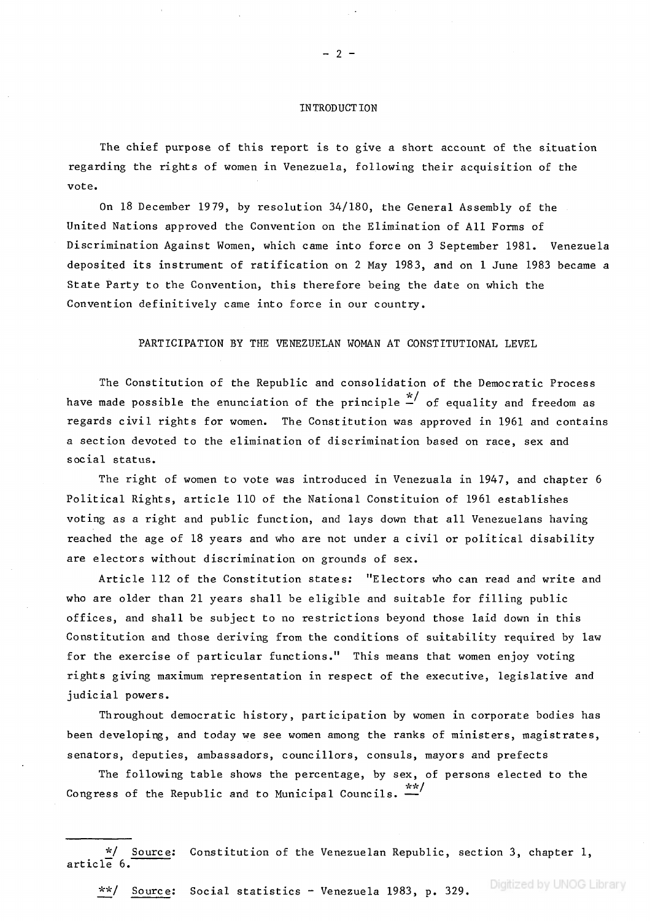### **INTRODUCTION**

 $-2-$ 

**The chief purpose of this report is to give a short account of the situation regarding the rights of women in Venezuela, following their acquisition of the vote.**

**On 18 December 1979, by resolution 34/180, the General Assembly of the United Nations approved the Convention on the Elimination of All Forms of Discrimination Against Women, which came into force on 3 September 1981. Venezuela deposited its instrument of ratification on 2 May 1983, and on 1 June 1983 became a State Party to the Convention, this therefore being the date on which the Convention definitively came into force in our country.**

**PARTICIPATION BY THE VENEZUELAN WOMAN AT CONSTITUTIONAL LEVEL**

**The Constitution of the Republic and consolidation of the Democratic Process** have made possible the enunciation of the principle  $\overset{*}{-}'$  of equality and freedom as **regards civil rights for women. The Constitution was approved in 1961 and contains a section devoted to the elimination of discrimination based on race, sex and social status.**

**The right of women to vote was introduced in Venezuela in 1947, and chapter 6 Political Rights, article 110 of the National Constituion of 1961 establishes voting as a right and public function, and lays down that all Venezuelans having reached the age of 18 years and who are not under a civil or political disability are electors without discrimination on grounds of sex.**

**Article 112 of the Constitution states; "Electors who can read and write and who are older than 21 years shall be eligible and suitable for filling public offices, and shall be subject to no restrictions beyond those laid down in this Constitution and those deriving from the conditions of suitability required by law for the exercise of particular functions." This means that women enjoy voting rights giving maximum representation in respect of the executive, legislative and judicial powers.**

**Throughout democratic history, participation by women in corporate bodies has been developing, and today we see women among the ranks of ministers, magistrates, senators, deputies, ambassadors, councillors, consuls, mayors and prefects**

**The following table shows the percentage, by sex, of persons elected to the \*\* / Congress of the Republic and to Municipal Councils. —**

**\* \* / Source; Social statistics - Venezuela 1983, p. 329.**

**<sup>\*/</sup> Source; Constitution of the Venezuelan Republic, section 3, chapter 1, article 6.**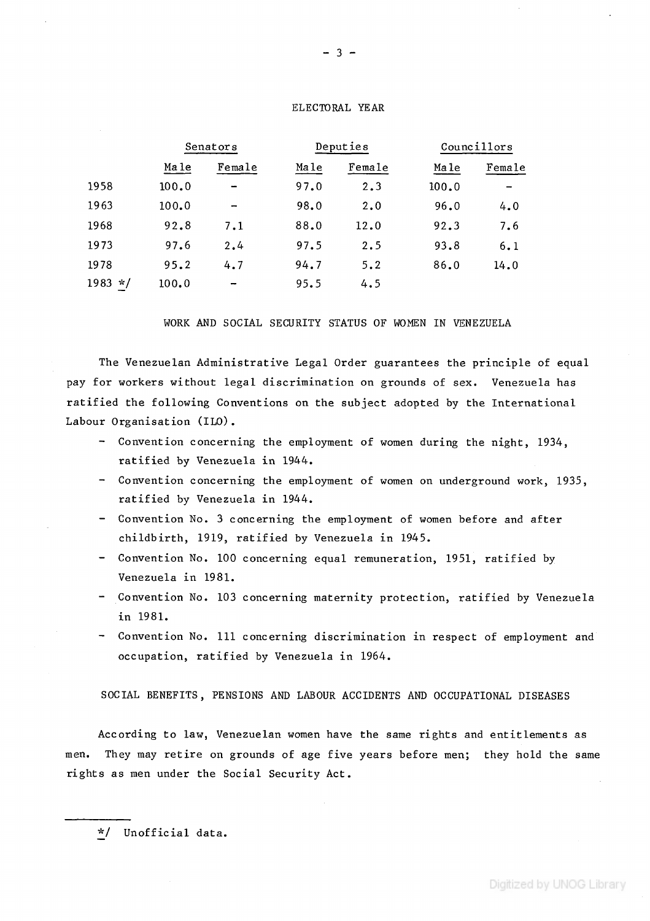## **ELECTORAL YEAR**

|                   | Senators |                          | Deputies |        | Councillors |        |
|-------------------|----------|--------------------------|----------|--------|-------------|--------|
|                   | Ma le    | Female                   | Male     | Female | Ma le       | Female |
| 1958              | 100.0    | $\overline{\phantom{0}}$ | 97.0     | 2.3    | 100.0       |        |
| 1963              | 100.0    |                          | 98.0     | 2.0    | 96.0        | 4.0    |
| 1968              | 92.8     | 7.1                      | 88.0     | 12.0   | 92.3        | 7.6    |
| 1973              | 97.6     | 2.4                      | 97.5     | 2.5    | 93.8        | 6.1    |
| 1978              | 95.2     | 4.7                      | 94.7     | 5.2    | 86.0        | 14.0   |
| 1983<br>$\star$ / | 100.0    | -                        | 95.5     | 4.5    |             |        |

### **WORK AND SOCIAL SECURITY STATUS OF WOMEN IN VENEZUELA**

**The Venezuelan Administrative Legal Order guarantees the principle of equal pay for workers without legal discrimination on grounds of sex. Venezuela has ratified the following Conventions on the subject adopted by the International Labour Organisation (ILO).**

- **Convention concerning the employment of women during the night, 1934, ratified by Venezuela in 1944.**
- **Convention concerning the employment of women on underground work, 1935, ratified by Venezuela in 1944.**
- **Convention No. 3 concerning the employment of women before and after childbirth, 1919, ratified by Venezuela in 1945.**
- **Convention No. 100 concerning equal remuneration, 1951, ratified by Venezuela in 1981.**
- **Convention No. 103 concerning maternity protection, ratified by Venezuela in 1981.**
- **Convention No. Ill concerning discrimination in respect of employment and occupation, ratified by Venezuela in 1964.**

**SOCIAL BENEFITS, PENSIONS AND LABOUR ACCIDENTS AND OCCUPATIONAL DISEASES**

**According to law, Venezuelan women have the same rights and entitlements as men. They may retire on grounds of age five years before men; they hold the same rights as men under the Social Security Act.**

**<sup>\*/</sup> Unofficial data.**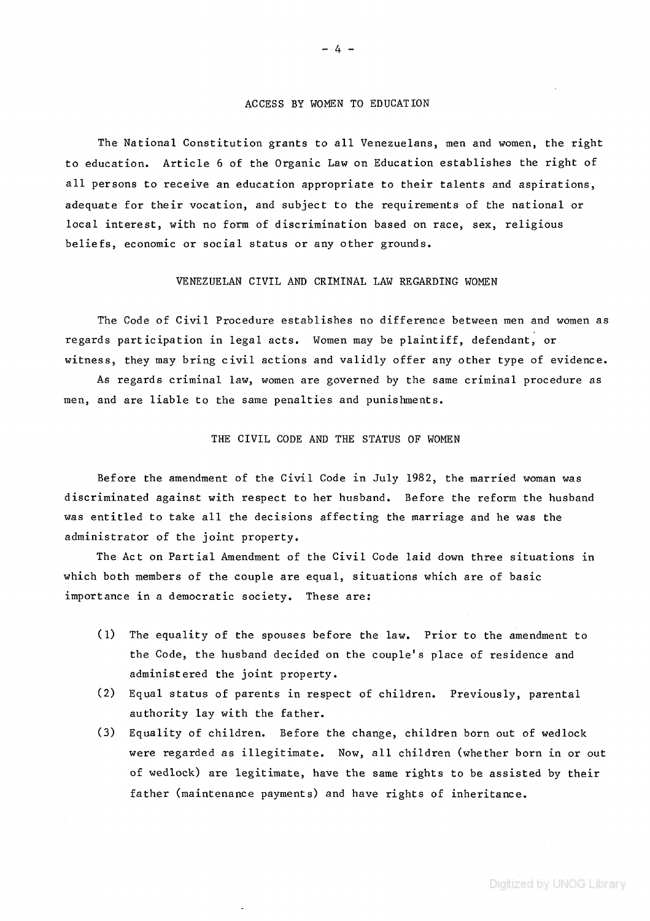## **ACCESS BY WOMEN TO EDUCATION**

**The National Constitution grants to all Venezuelans, men and women, the right** to education. Article 6 of the Organic Law on Education establishes the right of **all persons to receive an education appropriate to their talents and aspirations, adequate for their vocation, and subject to the requirements of the national or local interest, with no form of discrimination based on race, sex, religious beliefs, economic or social status or any other grounds.**

## **VENEZUELAN CIVIL AND CRIMINAL LAW REGARDING WOMEN**

**The Code of Civil Procedure establishes no difference between men and women as regards participation in legal acts. Women may be plaintiff, defendant, or witness, they may bring civil actions and validly offer any other type of evidence.**

**As regards criminal law, women are governed by the same criminal procedure as men, and are liable to the same penalties and punishments.**

## **THE CIVIL CODE AND THE STATUS OF WOMEN**

**Before the amendment of the Civil Code in July 1982, the married woman was discriminated against with respect to her husband. Before the reform the husband was entitled to take all the decisions affecting the marriage and he was the administrator of the joint property.**

**The Act on Partial Amendment of the Civil Code laid down three situations in which both members of the couple are equal, situations which are of basic importance in a democratic society. These are;**

- **(1) The equality of the spouses before the law. Prior to the amendment to the Code, the husband decided on the couple's place of residence and administered the joint property.**
- **(2) Equal status of parents in respect of children. Previously, parental authority lay with the father.**
- **(3) Equality of children. Before the change, children born out of wedlock were regarded as illegitimate. Now, all children (whether born in or out of wedlock) are legitimate, have the same rights to be assisted by their father (maintenance payments) and have rights of inheritance.**

 $-4-$